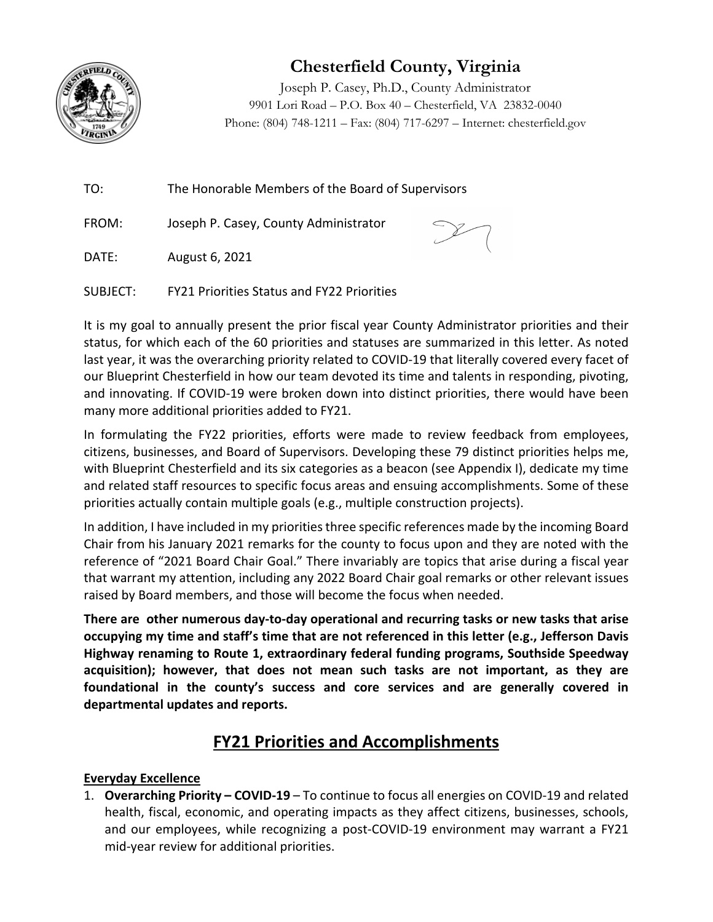

# **Chesterfield County, Virginia**

Joseph P. Casey, Ph.D., County Administrator 9901 Lori Road – P.O. Box 40 – Chesterfield, VA 23832-0040 Phone: (804) 748-1211 – Fax: (804) 717-6297 – Internet: chesterfield.gov

TO: The Honorable Members of the Board of Supervisors

FROM: Joseph P. Casey, County Administrator



DATE: August 6, 2021

SUBJECT: FY21 Priorities Status and FY22 Priorities

It is my goal to annually present the prior fiscal year County Administrator priorities and their status, for which each of the 60 priorities and statuses are summarized in this letter. As noted last year, it was the overarching priority related to COVID‐19 that literally covered every facet of our Blueprint Chesterfield in how our team devoted its time and talents in responding, pivoting, and innovating. If COVID‐19 were broken down into distinct priorities, there would have been many more additional priorities added to FY21.

In formulating the FY22 priorities, efforts were made to review feedback from employees, citizens, businesses, and Board of Supervisors. Developing these 79 distinct priorities helps me, with Blueprint Chesterfield and its six categories as a beacon (see Appendix I), dedicate my time and related staff resources to specific focus areas and ensuing accomplishments. Some of these priorities actually contain multiple goals (e.g., multiple construction projects).

In addition, I have included in my priorities three specific references made by the incoming Board Chair from his January 2021 remarks for the county to focus upon and they are noted with the reference of "2021 Board Chair Goal." There invariably are topics that arise during a fiscal year that warrant my attention, including any 2022 Board Chair goal remarks or other relevant issues raised by Board members, and those will become the focus when needed.

There are other numerous day-to-day operational and recurring tasks or new tasks that arise **occupying my time and staff's time that are not referenced in this letter (e.g., Jefferson Davis Highway renaming to Route 1, extraordinary federal funding programs, Southside Speedway acquisition); however, that does not mean such tasks are not important, as they are foundational in the county's success and core services and are generally covered in departmental updates and reports.**

## **FY21 Priorities and Accomplishments**

#### **Everyday Excellence**

1. **Overarching Priority – COVID‐19** – To continue to focus all energies on COVID‐19 and related health, fiscal, economic, and operating impacts as they affect citizens, businesses, schools, and our employees, while recognizing a post-COVID-19 environment may warrant a FY21 mid‐year review for additional priorities.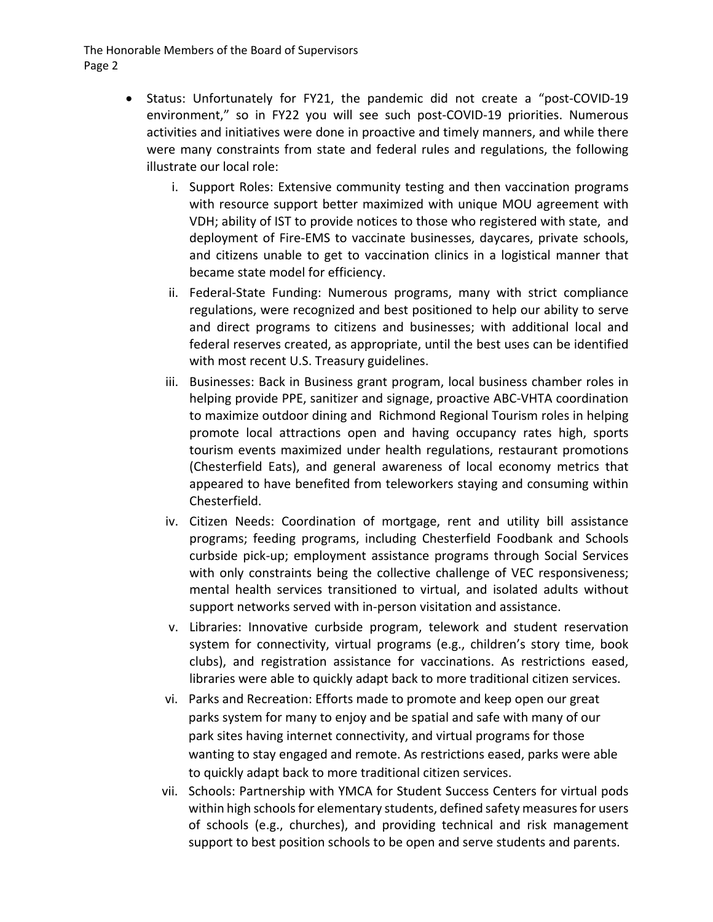- Status: Unfortunately for FY21, the pandemic did not create a "post-COVID-19" environment," so in FY22 you will see such post‐COVID‐19 priorities. Numerous activities and initiatives were done in proactive and timely manners, and while there were many constraints from state and federal rules and regulations, the following illustrate our local role:
	- i. Support Roles: Extensive community testing and then vaccination programs with resource support better maximized with unique MOU agreement with VDH; ability of IST to provide notices to those who registered with state, and deployment of Fire‐EMS to vaccinate businesses, daycares, private schools, and citizens unable to get to vaccination clinics in a logistical manner that became state model for efficiency.
	- ii. Federal‐State Funding: Numerous programs, many with strict compliance regulations, were recognized and best positioned to help our ability to serve and direct programs to citizens and businesses; with additional local and federal reserves created, as appropriate, until the best uses can be identified with most recent U.S. Treasury guidelines.
	- iii. Businesses: Back in Business grant program, local business chamber roles in helping provide PPE, sanitizer and signage, proactive ABC‐VHTA coordination to maximize outdoor dining and Richmond Regional Tourism roles in helping promote local attractions open and having occupancy rates high, sports tourism events maximized under health regulations, restaurant promotions (Chesterfield Eats), and general awareness of local economy metrics that appeared to have benefited from teleworkers staying and consuming within Chesterfield.
	- iv. Citizen Needs: Coordination of mortgage, rent and utility bill assistance programs; feeding programs, including Chesterfield Foodbank and Schools curbside pick‐up; employment assistance programs through Social Services with only constraints being the collective challenge of VEC responsiveness; mental health services transitioned to virtual, and isolated adults without support networks served with in‐person visitation and assistance.
	- v. Libraries: Innovative curbside program, telework and student reservation system for connectivity, virtual programs (e.g., children's story time, book clubs), and registration assistance for vaccinations. As restrictions eased, libraries were able to quickly adapt back to more traditional citizen services.
	- vi. Parks and Recreation: Efforts made to promote and keep open our great parks system for many to enjoy and be spatial and safe with many of our park sites having internet connectivity, and virtual programs for those wanting to stay engaged and remote. As restrictions eased, parks were able to quickly adapt back to more traditional citizen services.
	- vii. Schools: Partnership with YMCA for Student Success Centers for virtual pods within high schools for elementary students, defined safety measures for users of schools (e.g., churches), and providing technical and risk management support to best position schools to be open and serve students and parents.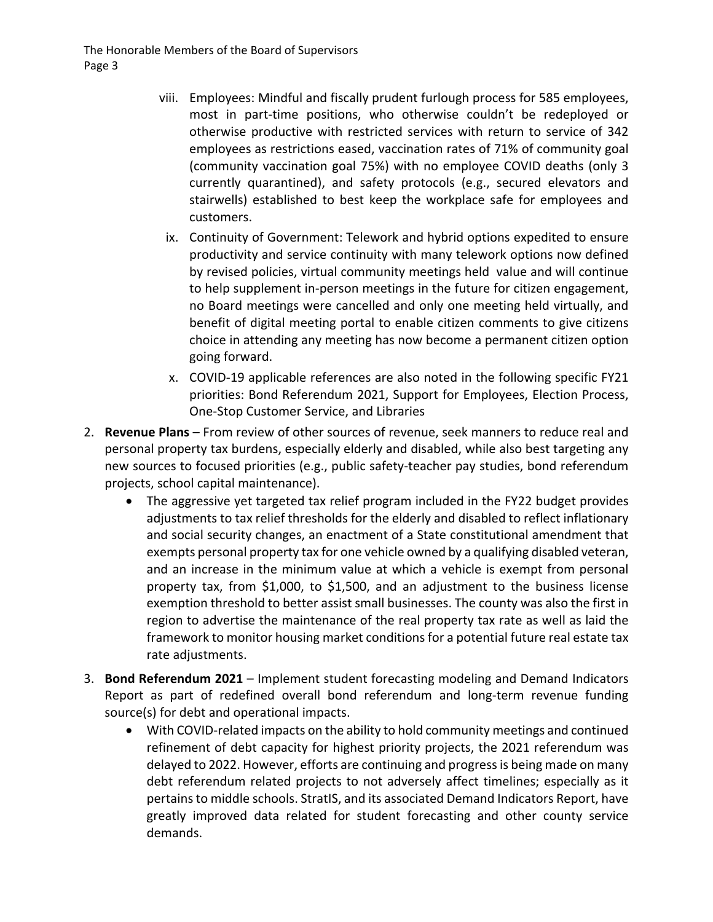- viii. Employees: Mindful and fiscally prudent furlough process for 585 employees, most in part‐time positions, who otherwise couldn't be redeployed or otherwise productive with restricted services with return to service of 342 employees as restrictions eased, vaccination rates of 71% of community goal (community vaccination goal 75%) with no employee COVID deaths (only 3 currently quarantined), and safety protocols (e.g., secured elevators and stairwells) established to best keep the workplace safe for employees and customers.
	- ix. Continuity of Government: Telework and hybrid options expedited to ensure productivity and service continuity with many telework options now defined by revised policies, virtual community meetings held value and will continue to help supplement in‐person meetings in the future for citizen engagement, no Board meetings were cancelled and only one meeting held virtually, and benefit of digital meeting portal to enable citizen comments to give citizens choice in attending any meeting has now become a permanent citizen option going forward.
	- x. COVID‐19 applicable references are also noted in the following specific FY21 priorities: Bond Referendum 2021, Support for Employees, Election Process, One‐Stop Customer Service, and Libraries
- 2. **Revenue Plans** From review of other sources of revenue, seek manners to reduce real and personal property tax burdens, especially elderly and disabled, while also best targeting any new sources to focused priorities (e.g., public safety-teacher pay studies, bond referendum projects, school capital maintenance).
	- The aggressive yet targeted tax relief program included in the FY22 budget provides adjustments to tax relief thresholds for the elderly and disabled to reflect inflationary and social security changes, an enactment of a State constitutional amendment that exempts personal property tax for one vehicle owned by a qualifying disabled veteran, and an increase in the minimum value at which a vehicle is exempt from personal property tax, from \$1,000, to \$1,500, and an adjustment to the business license exemption threshold to better assist small businesses. The county was also the first in region to advertise the maintenance of the real property tax rate as well as laid the framework to monitor housing market conditions for a potential future real estate tax rate adjustments.
- 3. **Bond Referendum 2021** Implement student forecasting modeling and Demand Indicators Report as part of redefined overall bond referendum and long-term revenue funding source(s) for debt and operational impacts.
	- With COVID-related impacts on the ability to hold community meetings and continued refinement of debt capacity for highest priority projects, the 2021 referendum was delayed to 2022. However, efforts are continuing and progressis being made on many debt referendum related projects to not adversely affect timelines; especially as it pertains to middle schools. StratIS, and its associated Demand Indicators Report, have greatly improved data related for student forecasting and other county service demands.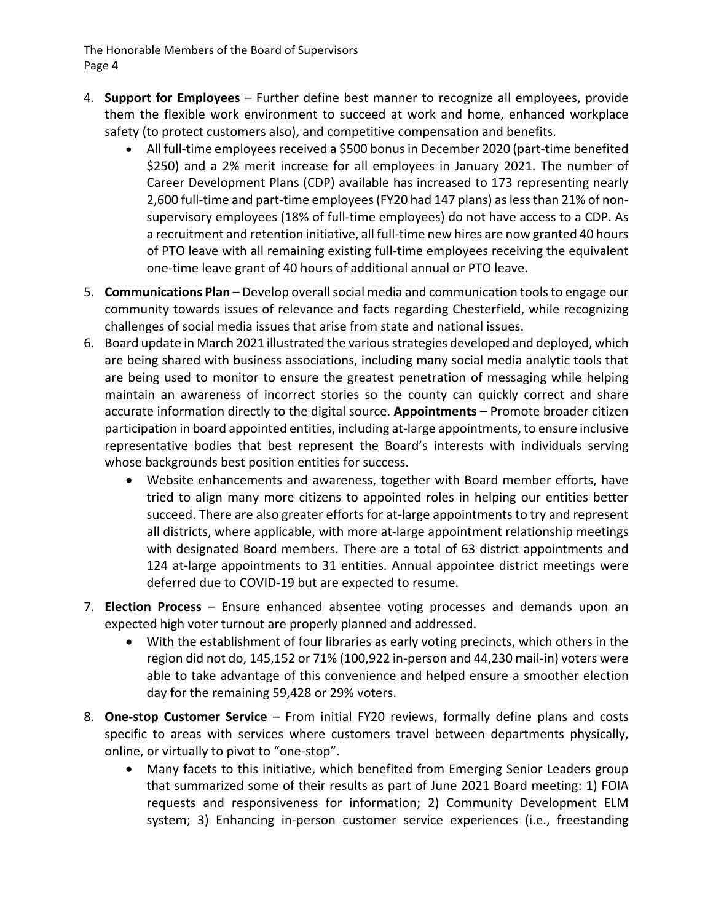- 4. **Support for Employees** Further define best manner to recognize all employees, provide them the flexible work environment to succeed at work and home, enhanced workplace safety (to protect customers also), and competitive compensation and benefits.
	- All full-time employees received a \$500 bonus in December 2020 (part-time benefited \$250) and a 2% merit increase for all employees in January 2021. The number of Career Development Plans (CDP) available has increased to 173 representing nearly 2,600 full‐time and part‐time employees(FY20 had 147 plans) aslessthan 21% of non‐ supervisory employees (18% of full‐time employees) do not have access to a CDP. As a recruitment and retention initiative, all full‐time new hires are now granted 40 hours of PTO leave with all remaining existing full‐time employees receiving the equivalent one‐time leave grant of 40 hours of additional annual or PTO leave.
- 5. **Communications Plan** Develop overallsocial media and communication toolsto engage our community towards issues of relevance and facts regarding Chesterfield, while recognizing challenges of social media issues that arise from state and national issues.
- 6. Board update in March 2021 illustrated the variousstrategies developed and deployed, which are being shared with business associations, including many social media analytic tools that are being used to monitor to ensure the greatest penetration of messaging while helping maintain an awareness of incorrect stories so the county can quickly correct and share accurate information directly to the digital source. **Appointments** – Promote broader citizen participation in board appointed entities, including at-large appointments, to ensure inclusive representative bodies that best represent the Board's interests with individuals serving whose backgrounds best position entities for success.
	- Website enhancements and awareness, together with Board member efforts, have tried to align many more citizens to appointed roles in helping our entities better succeed. There are also greater efforts for at-large appointments to try and represent all districts, where applicable, with more at‐large appointment relationship meetings with designated Board members. There are a total of 63 district appointments and 124 at-large appointments to 31 entities. Annual appointee district meetings were deferred due to COVID‐19 but are expected to resume.
- 7. **Election Process** Ensure enhanced absentee voting processes and demands upon an expected high voter turnout are properly planned and addressed.
	- With the establishment of four libraries as early voting precincts, which others in the region did not do, 145,152 or 71% (100,922 in‐person and 44,230 mail‐in) voters were able to take advantage of this convenience and helped ensure a smoother election day for the remaining 59,428 or 29% voters.
- 8. **One‐stop Customer Service** From initial FY20 reviews, formally define plans and costs specific to areas with services where customers travel between departments physically, online, or virtually to pivot to "one‐stop".
	- Many facets to this initiative, which benefited from Emerging Senior Leaders group that summarized some of their results as part of June 2021 Board meeting: 1) FOIA requests and responsiveness for information; 2) Community Development ELM system; 3) Enhancing in-person customer service experiences (i.e., freestanding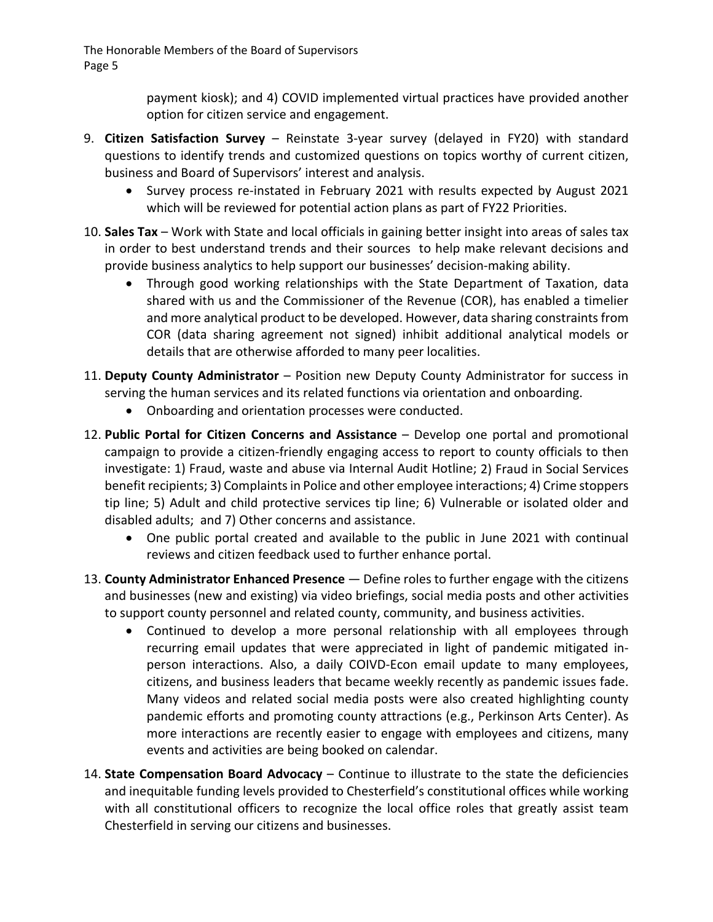> payment kiosk); and 4) COVID implemented virtual practices have provided another option for citizen service and engagement.

- 9. **Citizen Satisfaction Survey** Reinstate 3‐year survey (delayed in FY20) with standard questions to identify trends and customized questions on topics worthy of current citizen, business and Board of Supervisors' interest and analysis.
	- Survey process re-instated in February 2021 with results expected by August 2021 which will be reviewed for potential action plans as part of FY22 Priorities.
- 10. **Sales Tax** Work with State and local officials in gaining better insight into areas of sales tax in order to best understand trends and their sources to help make relevant decisions and provide business analytics to help support our businesses' decision-making ability.
	- Through good working relationships with the State Department of Taxation, data shared with us and the Commissioner of the Revenue (COR), has enabled a timelier and more analytical product to be developed. However, data sharing constraints from COR (data sharing agreement not signed) inhibit additional analytical models or details that are otherwise afforded to many peer localities.
- 11. **Deputy County Administrator** Position new Deputy County Administrator for success in serving the human services and its related functions via orientation and onboarding.
	- Onboarding and orientation processes were conducted.
- 12. **Public Portal for Citizen Concerns and Assistance** Develop one portal and promotional campaign to provide a citizen‐friendly engaging access to report to county officials to then investigate: 1) Fraud, waste and abuse via Internal Audit Hotline; 2) Fraud in Social Services benefit recipients; 3) Complaints in Police and other employee interactions; 4) Crime stoppers tip line; 5) Adult and child protective services tip line; 6) Vulnerable or isolated older and disabled adults; and 7) Other concerns and assistance.
	- One public portal created and available to the public in June 2021 with continual reviews and citizen feedback used to further enhance portal.
- 13. **County Administrator Enhanced Presence** Define roles to further engage with the citizens and businesses (new and existing) via video briefings, social media posts and other activities to support county personnel and related county, community, and business activities.
	- Continued to develop a more personal relationship with all employees through recurring email updates that were appreciated in light of pandemic mitigated in‐ person interactions. Also, a daily COIVD‐Econ email update to many employees, citizens, and business leaders that became weekly recently as pandemic issues fade. Many videos and related social media posts were also created highlighting county pandemic efforts and promoting county attractions (e.g., Perkinson Arts Center). As more interactions are recently easier to engage with employees and citizens, many events and activities are being booked on calendar.
- 14. **State Compensation Board Advocacy** Continue to illustrate to the state the deficiencies and inequitable funding levels provided to Chesterfield's constitutional offices while working with all constitutional officers to recognize the local office roles that greatly assist team Chesterfield in serving our citizens and businesses.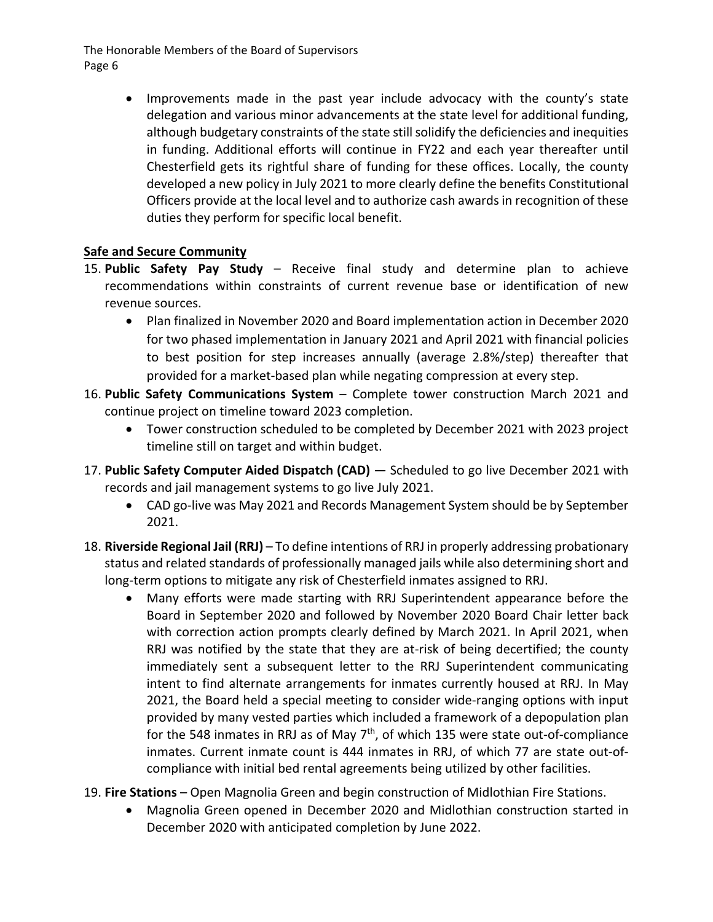> Improvements made in the past year include advocacy with the county's state delegation and various minor advancements at the state level for additional funding, although budgetary constraints of the state still solidify the deficiencies and inequities in funding. Additional efforts will continue in FY22 and each year thereafter until Chesterfield gets its rightful share of funding for these offices. Locally, the county developed a new policy in July 2021 to more clearly define the benefits Constitutional Officers provide at the local level and to authorize cash awards in recognition of these duties they perform for specific local benefit.

#### **Safe and Secure Community**

- 15. **Public Safety Pay Study** Receive final study and determine plan to achieve recommendations within constraints of current revenue base or identification of new revenue sources.
	- Plan finalized in November 2020 and Board implementation action in December 2020 for two phased implementation in January 2021 and April 2021 with financial policies to best position for step increases annually (average 2.8%/step) thereafter that provided for a market‐based plan while negating compression at every step.
- 16. **Public Safety Communications System** Complete tower construction March 2021 and continue project on timeline toward 2023 completion.
	- Tower construction scheduled to be completed by December 2021 with 2023 project timeline still on target and within budget.
- 17. **Public Safety Computer Aided Dispatch (CAD)** Scheduled to go live December 2021 with records and jail management systems to go live July 2021.
	- CAD go-live was May 2021 and Records Management System should be by September 2021.
- 18. **Riverside Regional Jail (RRJ)** To define intentions of RRJ in properly addressing probationary status and related standards of professionally managed jails while also determining short and long-term options to mitigate any risk of Chesterfield inmates assigned to RRJ.
	- Many efforts were made starting with RRJ Superintendent appearance before the Board in September 2020 and followed by November 2020 Board Chair letter back with correction action prompts clearly defined by March 2021. In April 2021, when RRJ was notified by the state that they are at-risk of being decertified; the county immediately sent a subsequent letter to the RRJ Superintendent communicating intent to find alternate arrangements for inmates currently housed at RRJ. In May 2021, the Board held a special meeting to consider wide‐ranging options with input provided by many vested parties which included a framework of a depopulation plan for the 548 inmates in RRJ as of May  $7<sup>th</sup>$ , of which 135 were state out-of-compliance inmates. Current inmate count is 444 inmates in RRJ, of which 77 are state out‐of‐ compliance with initial bed rental agreements being utilized by other facilities.
- 19. **Fire Stations** Open Magnolia Green and begin construction of Midlothian Fire Stations.
	- Magnolia Green opened in December 2020 and Midlothian construction started in December 2020 with anticipated completion by June 2022.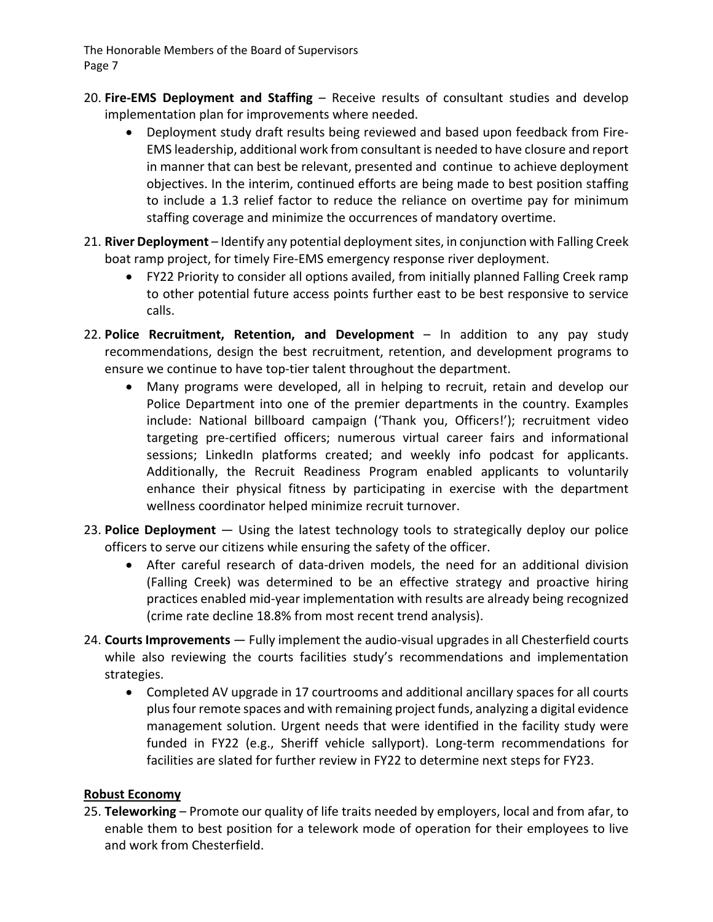- 20. **Fire‐EMS Deployment and Staffing** Receive results of consultant studies and develop implementation plan for improvements where needed.
	- Deployment study draft results being reviewed and based upon feedback from Fire‐ EMS leadership, additional work from consultant is needed to have closure and report in manner that can best be relevant, presented and continue to achieve deployment objectives. In the interim, continued efforts are being made to best position staffing to include a 1.3 relief factor to reduce the reliance on overtime pay for minimum staffing coverage and minimize the occurrences of mandatory overtime.
- 21. **River Deployment** Identify any potential deploymentsites, in conjunction with Falling Creek boat ramp project, for timely Fire‐EMS emergency response river deployment.
	- FY22 Priority to consider all options availed, from initially planned Falling Creek ramp to other potential future access points further east to be best responsive to service calls.
- 22. **Police Recruitment, Retention, and Development** In addition to any pay study recommendations, design the best recruitment, retention, and development programs to ensure we continue to have top‐tier talent throughout the department.
	- Many programs were developed, all in helping to recruit, retain and develop our Police Department into one of the premier departments in the country. Examples include: National billboard campaign ('Thank you, Officers!'); recruitment video targeting pre‐certified officers; numerous virtual career fairs and informational sessions; LinkedIn platforms created; and weekly info podcast for applicants. Additionally, the Recruit Readiness Program enabled applicants to voluntarily enhance their physical fitness by participating in exercise with the department wellness coordinator helped minimize recruit turnover.
- 23. **Police Deployment** Using the latest technology tools to strategically deploy our police officers to serve our citizens while ensuring the safety of the officer.
	- After careful research of data-driven models, the need for an additional division (Falling Creek) was determined to be an effective strategy and proactive hiring practices enabled mid‐year implementation with results are already being recognized (crime rate decline 18.8% from most recent trend analysis).
- 24. **Courts Improvements** Fully implement the audio‐visual upgrades in all Chesterfield courts while also reviewing the courts facilities study's recommendations and implementation strategies.
	- Completed AV upgrade in 17 courtrooms and additional ancillary spaces for all courts plusfour remote spaces and with remaining project funds, analyzing a digital evidence management solution. Urgent needs that were identified in the facility study were funded in FY22 (e.g., Sheriff vehicle sallyport). Long-term recommendations for facilities are slated for further review in FY22 to determine next steps for FY23.

#### **Robust Economy**

25. **Teleworking** – Promote our quality of life traits needed by employers, local and from afar, to enable them to best position for a telework mode of operation for their employees to live and work from Chesterfield.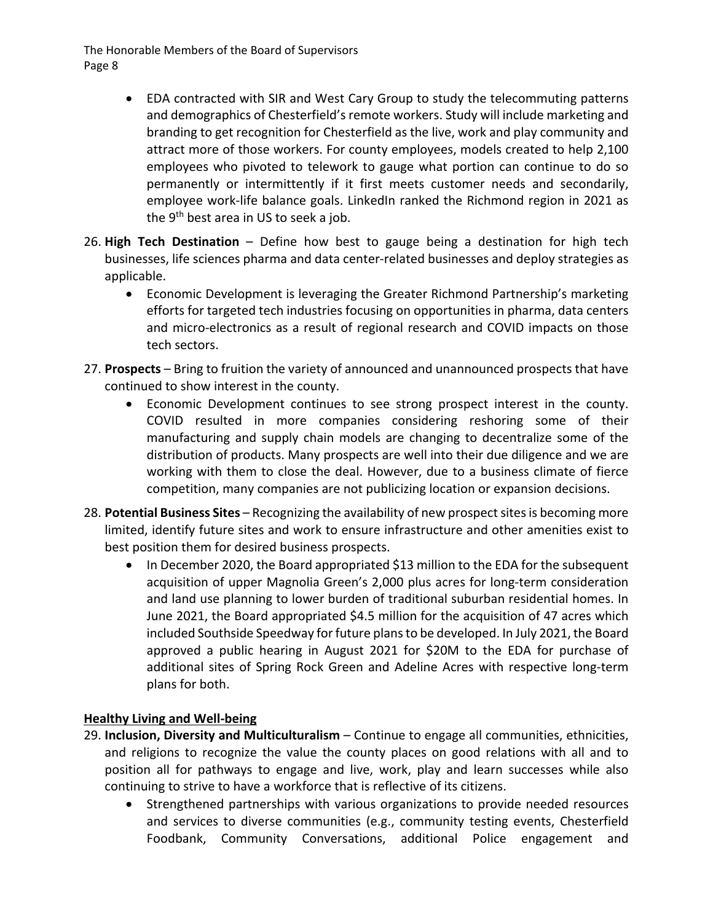- EDA contracted with SIR and West Cary Group to study the telecommuting patterns and demographics of Chesterfield's remote workers. Study will include marketing and branding to get recognition for Chesterfield as the live, work and play community and attract more of those workers. For county employees, models created to help 2,100 employees who pivoted to telework to gauge what portion can continue to do so permanently or intermittently if it first meets customer needs and secondarily, employee work-life balance goals. LinkedIn ranked the Richmond region in 2021 as the 9<sup>th</sup> best area in US to seek a job.
- 26. **High Tech Destination** Define how best to gauge being a destination for high tech businesses, life sciences pharma and data center‐related businesses and deploy strategies as applicable.
	- Economic Development is leveraging the Greater Richmond Partnership's marketing efforts for targeted tech industries focusing on opportunities in pharma, data centers and micro‐electronics as a result of regional research and COVID impacts on those tech sectors.
- 27. **Prospects** Bring to fruition the variety of announced and unannounced prospects that have continued to show interest in the county.
	- Economic Development continues to see strong prospect interest in the county. COVID resulted in more companies considering reshoring some of their manufacturing and supply chain models are changing to decentralize some of the distribution of products. Many prospects are well into their due diligence and we are working with them to close the deal. However, due to a business climate of fierce competition, many companies are not publicizing location or expansion decisions.
- 28. Potential Business Sites Recognizing the availability of new prospect sites is becoming more limited, identify future sites and work to ensure infrastructure and other amenities exist to best position them for desired business prospects.
	- In December 2020, the Board appropriated \$13 million to the EDA for the subsequent acquisition of upper Magnolia Green's 2,000 plus acres for long‐term consideration and land use planning to lower burden of traditional suburban residential homes. In June 2021, the Board appropriated \$4.5 million for the acquisition of 47 acres which included Southside Speedway forfuture plansto be developed. In July 2021, the Board approved a public hearing in August 2021 for \$20M to the EDA for purchase of additional sites of Spring Rock Green and Adeline Acres with respective long‐term plans for both.

#### **Healthy Living and Well‐being**

- 29. **Inclusion, Diversity and Multiculturalism** Continue to engage all communities, ethnicities, and religions to recognize the value the county places on good relations with all and to position all for pathways to engage and live, work, play and learn successes while also continuing to strive to have a workforce that is reflective of its citizens.
	- Strengthened partnerships with various organizations to provide needed resources and services to diverse communities (e.g., community testing events, Chesterfield Foodbank, Community Conversations, additional Police engagement and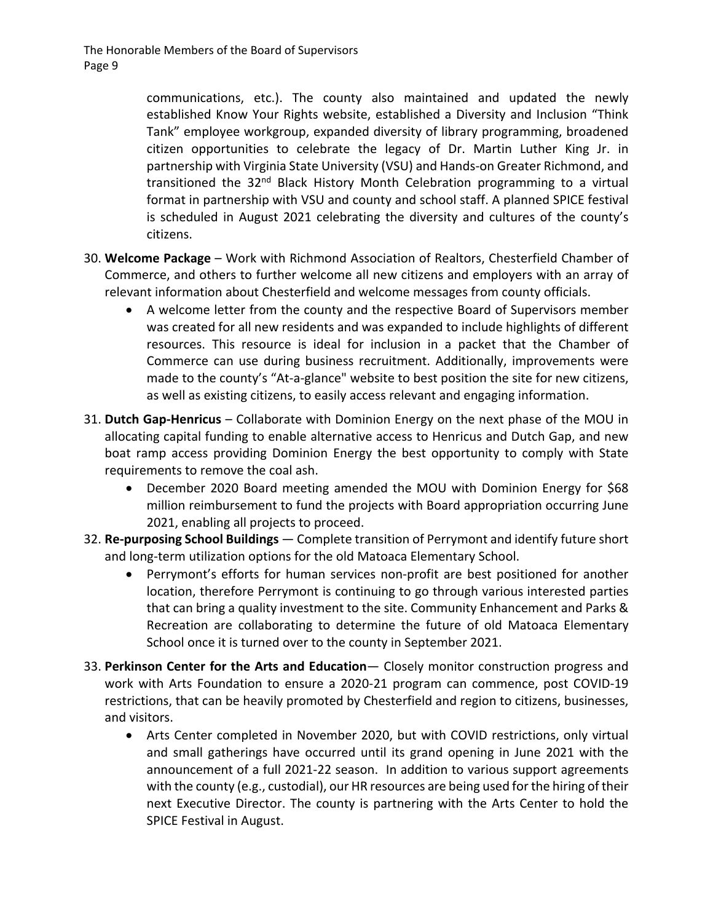communications, etc.). The county also maintained and updated the newly established Know Your Rights website, established a Diversity and Inclusion "Think Tank" employee workgroup, expanded diversity of library programming, broadened citizen opportunities to celebrate the legacy of Dr. Martin Luther King Jr. in partnership with Virginia State University (VSU) and Hands‐on Greater Richmond, and transitioned the 32<sup>nd</sup> Black History Month Celebration programming to a virtual format in partnership with VSU and county and school staff. A planned SPICE festival is scheduled in August 2021 celebrating the diversity and cultures of the county's citizens.

- 30. **Welcome Package** Work with Richmond Association of Realtors, Chesterfield Chamber of Commerce, and others to further welcome all new citizens and employers with an array of relevant information about Chesterfield and welcome messages from county officials.
	- A welcome letter from the county and the respective Board of Supervisors member was created for all new residents and was expanded to include highlights of different resources. This resource is ideal for inclusion in a packet that the Chamber of Commerce can use during business recruitment. Additionally, improvements were made to the county's "At-a-glance" website to best position the site for new citizens, as well as existing citizens, to easily access relevant and engaging information.
- 31. **Dutch Gap‐Henricus** Collaborate with Dominion Energy on the next phase of the MOU in allocating capital funding to enable alternative access to Henricus and Dutch Gap, and new boat ramp access providing Dominion Energy the best opportunity to comply with State requirements to remove the coal ash.
	- December 2020 Board meeting amended the MOU with Dominion Energy for \$68 million reimbursement to fund the projects with Board appropriation occurring June 2021, enabling all projects to proceed.
- 32. **Re‐purposing School Buildings** Complete transition of Perrymont and identify future short and long-term utilization options for the old Matoaca Elementary School.
	- Perrymont's efforts for human services non-profit are best positioned for another location, therefore Perrymont is continuing to go through various interested parties that can bring a quality investment to the site. Community Enhancement and Parks & Recreation are collaborating to determine the future of old Matoaca Elementary School once it is turned over to the county in September 2021.
- 33. **Perkinson Center for the Arts and Education** Closely monitor construction progress and work with Arts Foundation to ensure a 2020‐21 program can commence, post COVID‐19 restrictions, that can be heavily promoted by Chesterfield and region to citizens, businesses, and visitors.
	- Arts Center completed in November 2020, but with COVID restrictions, only virtual and small gatherings have occurred until its grand opening in June 2021 with the announcement of a full 2021‐22 season. In addition to various support agreements with the county (e.g., custodial), our HR resources are being used for the hiring of their next Executive Director. The county is partnering with the Arts Center to hold the SPICE Festival in August.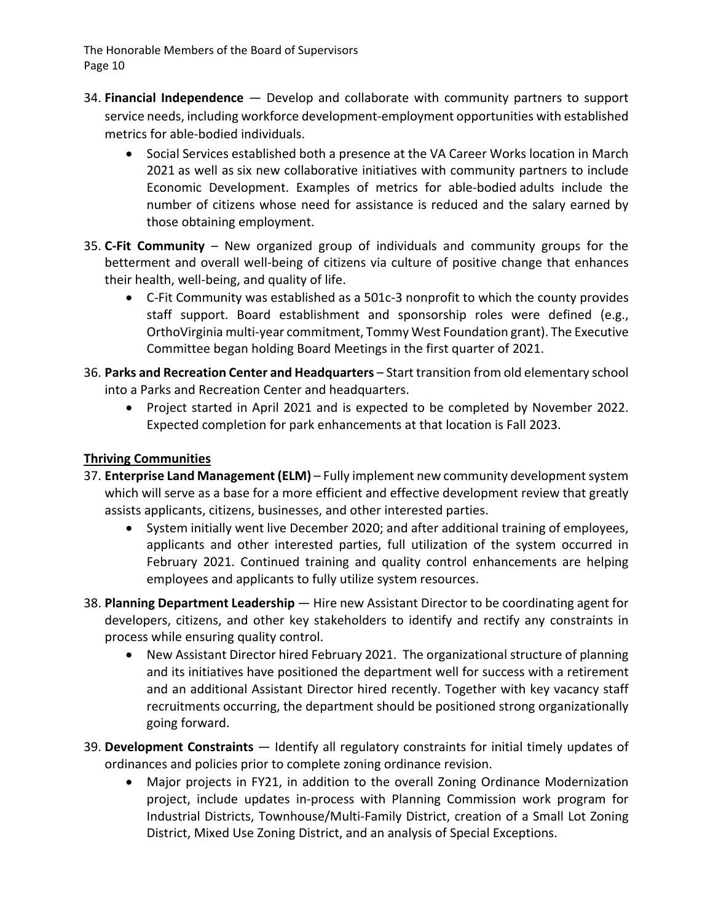- 34. **Financial Independence** Develop and collaborate with community partners to support service needs, including workforce development‐employment opportunities with established metrics for able‐bodied individuals.
	- Social Services established both a presence at the VA Career Works location in March 2021 as well as six new collaborative initiatives with community partners to include Economic Development. Examples of metrics for able‐bodied adults include the number of citizens whose need for assistance is reduced and the salary earned by those obtaining employment.
- 35. **C‐Fit Community** New organized group of individuals and community groups for the betterment and overall well-being of citizens via culture of positive change that enhances their health, well‐being, and quality of life.
	- C-Fit Community was established as a 501c-3 nonprofit to which the county provides staff support. Board establishment and sponsorship roles were defined (e.g., OrthoVirginia multi‐year commitment, Tommy West Foundation grant). The Executive Committee began holding Board Meetings in the first quarter of 2021.
- 36. **Parks and Recreation Center and Headquarters** Start transition from old elementary school into a Parks and Recreation Center and headquarters.
	- Project started in April 2021 and is expected to be completed by November 2022. Expected completion for park enhancements at that location is Fall 2023.

#### **Thriving Communities**

- 37. **Enterprise Land Management (ELM)** Fully implement new community developmentsystem which will serve as a base for a more efficient and effective development review that greatly assists applicants, citizens, businesses, and other interested parties.
	- System initially went live December 2020; and after additional training of employees, applicants and other interested parties, full utilization of the system occurred in February 2021. Continued training and quality control enhancements are helping employees and applicants to fully utilize system resources.
- 38. **Planning Department Leadership** Hire new Assistant Director to be coordinating agent for developers, citizens, and other key stakeholders to identify and rectify any constraints in process while ensuring quality control.
	- New Assistant Director hired February 2021. The organizational structure of planning and its initiatives have positioned the department well for success with a retirement and an additional Assistant Director hired recently. Together with key vacancy staff recruitments occurring, the department should be positioned strong organizationally going forward.
- 39. **Development Constraints** Identify all regulatory constraints for initial timely updates of ordinances and policies prior to complete zoning ordinance revision.
	- Major projects in FY21, in addition to the overall Zoning Ordinance Modernization project, include updates in‐process with Planning Commission work program for Industrial Districts, Townhouse/Multi‐Family District, creation of a Small Lot Zoning District, Mixed Use Zoning District, and an analysis of Special Exceptions.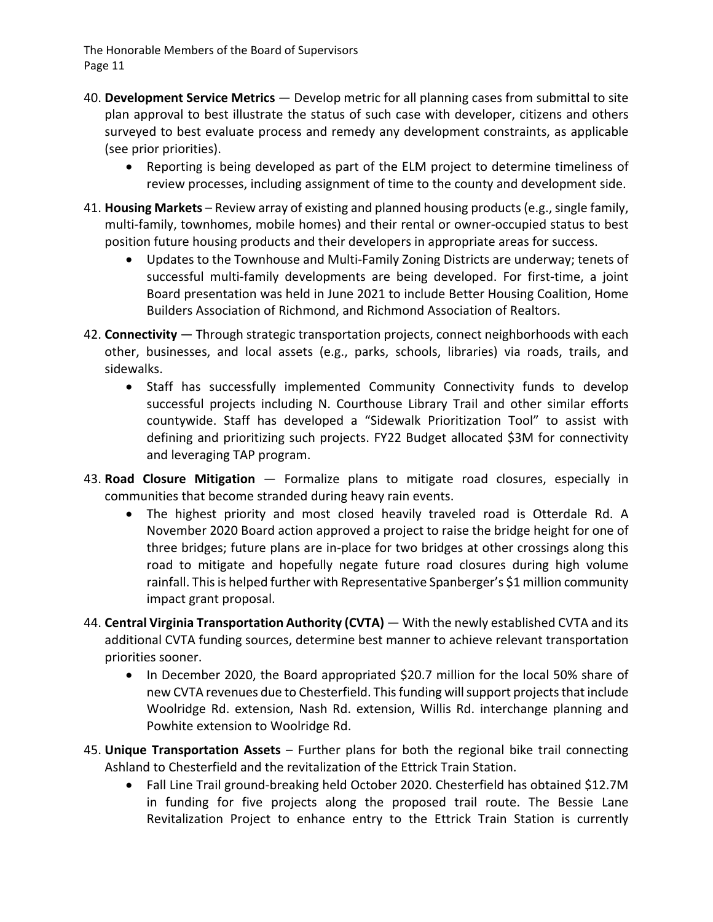- 40. **Development Service Metrics** Develop metric for all planning cases from submittal to site plan approval to best illustrate the status of such case with developer, citizens and others surveyed to best evaluate process and remedy any development constraints, as applicable (see prior priorities).
	- Reporting is being developed as part of the ELM project to determine timeliness of review processes, including assignment of time to the county and development side.
- 41. **Housing Markets** Review array of existing and planned housing products(e.g.,single family, multi-family, townhomes, mobile homes) and their rental or owner-occupied status to best position future housing products and their developers in appropriate areas for success.
	- Updates to the Townhouse and Multi‐Family Zoning Districts are underway; tenets of successful multi-family developments are being developed. For first-time, a joint Board presentation was held in June 2021 to include Better Housing Coalition, Home Builders Association of Richmond, and Richmond Association of Realtors.
- 42. **Connectivity** Through strategic transportation projects, connect neighborhoods with each other, businesses, and local assets (e.g., parks, schools, libraries) via roads, trails, and sidewalks.
	- Staff has successfully implemented Community Connectivity funds to develop successful projects including N. Courthouse Library Trail and other similar efforts countywide. Staff has developed a "Sidewalk Prioritization Tool" to assist with defining and prioritizing such projects. FY22 Budget allocated \$3M for connectivity and leveraging TAP program.
- 43. **Road Closure Mitigation** Formalize plans to mitigate road closures, especially in communities that become stranded during heavy rain events.
	- The highest priority and most closed heavily traveled road is Otterdale Rd. A November 2020 Board action approved a project to raise the bridge height for one of three bridges; future plans are in‐place for two bridges at other crossings along this road to mitigate and hopefully negate future road closures during high volume rainfall. This is helped further with Representative Spanberger's \$1 million community impact grant proposal.
- 44. **Central Virginia Transportation Authority (CVTA)** With the newly established CVTA and its additional CVTA funding sources, determine best manner to achieve relevant transportation priorities sooner.
	- In December 2020, the Board appropriated \$20.7 million for the local 50% share of new CVTA revenues due to Chesterfield. This funding will support projects that include Woolridge Rd. extension, Nash Rd. extension, Willis Rd. interchange planning and Powhite extension to Woolridge Rd.
- 45. **Unique Transportation Assets** Further plans for both the regional bike trail connecting Ashland to Chesterfield and the revitalization of the Ettrick Train Station.
	- Fall Line Trail ground‐breaking held October 2020. Chesterfield has obtained \$12.7M in funding for five projects along the proposed trail route. The Bessie Lane Revitalization Project to enhance entry to the Ettrick Train Station is currently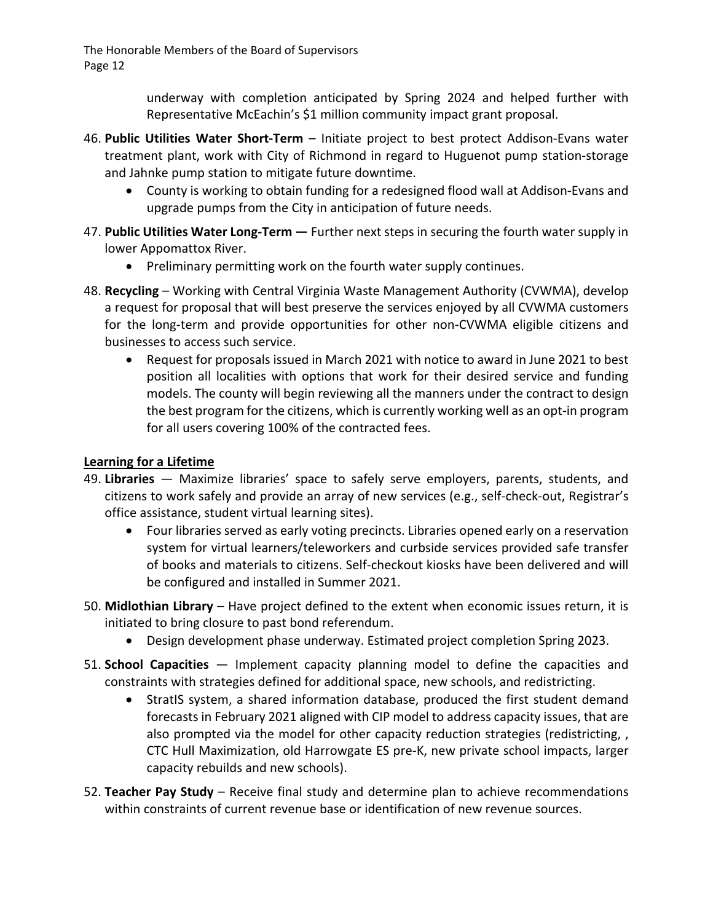> underway with completion anticipated by Spring 2024 and helped further with Representative McEachin's \$1 million community impact grant proposal.

- 46. **Public Utilities Water Short‐Term** Initiate project to best protect Addison‐Evans water treatment plant, work with City of Richmond in regard to Huguenot pump station‐storage and Jahnke pump station to mitigate future downtime.
	- County is working to obtain funding for a redesigned flood wall at Addison-Evans and upgrade pumps from the City in anticipation of future needs.
- 47. **Public Utilities Water Long‐Term —** Further next steps in securing the fourth water supply in lower Appomattox River.
	- Preliminary permitting work on the fourth water supply continues.
- 48. **Recycling** Working with Central Virginia Waste Management Authority (CVWMA), develop a request for proposal that will best preserve the services enjoyed by all CVWMA customers for the long-term and provide opportunities for other non-CVWMA eligible citizens and businesses to access such service.
	- Request for proposals issued in March 2021 with notice to award in June 2021 to best position all localities with options that work for their desired service and funding models. The county will begin reviewing all the manners under the contract to design the best program for the citizens, which is currently working well as an opt‐in program for all users covering 100% of the contracted fees.

#### **Learning for a Lifetime**

- 49. **Libraries** Maximize libraries' space to safely serve employers, parents, students, and citizens to work safely and provide an array of new services (e.g., self‐check‐out, Registrar's office assistance, student virtual learning sites).
	- Four libraries served as early voting precincts. Libraries opened early on a reservation system for virtual learners/teleworkers and curbside services provided safe transfer of books and materials to citizens. Self‐checkout kiosks have been delivered and will be configured and installed in Summer 2021.
- 50. **Midlothian Library** Have project defined to the extent when economic issues return, it is initiated to bring closure to past bond referendum.
	- Design development phase underway. Estimated project completion Spring 2023.
- 51. **School Capacities** Implement capacity planning model to define the capacities and constraints with strategies defined for additional space, new schools, and redistricting.
	- StratIS system, a shared information database, produced the first student demand forecasts in February 2021 aligned with CIP model to address capacity issues, that are also prompted via the model for other capacity reduction strategies (redistricting, , CTC Hull Maximization, old Harrowgate ES pre‐K, new private school impacts, larger capacity rebuilds and new schools).
- 52. **Teacher Pay Study** Receive final study and determine plan to achieve recommendations within constraints of current revenue base or identification of new revenue sources.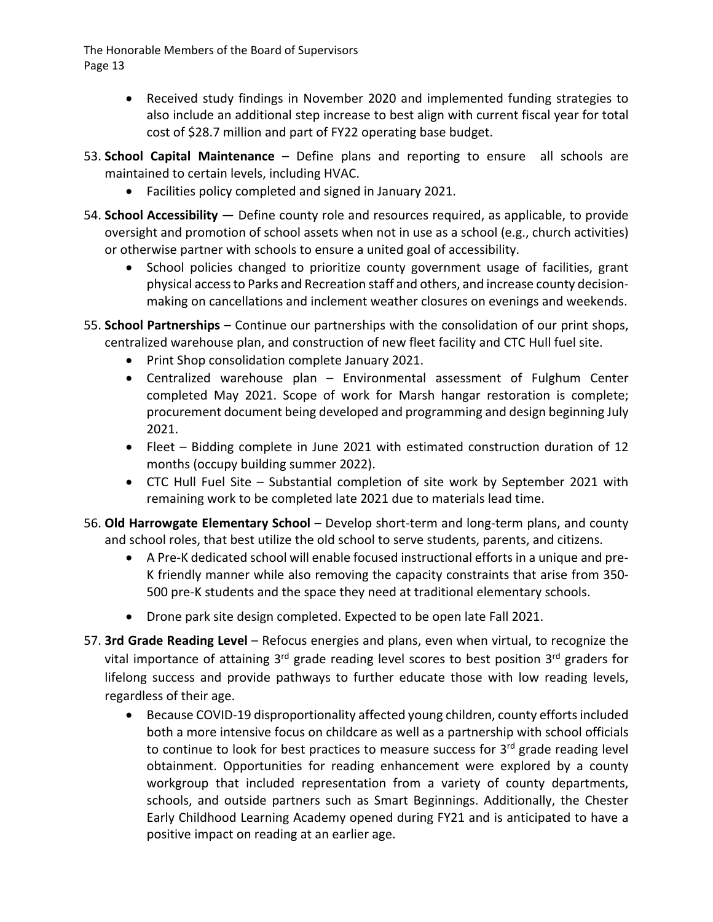- Received study findings in November 2020 and implemented funding strategies to also include an additional step increase to best align with current fiscal year for total cost of \$28.7 million and part of FY22 operating base budget.
- 53. **School Capital Maintenance** Define plans and reporting to ensure all schools are maintained to certain levels, including HVAC.
	- Facilities policy completed and signed in January 2021.
- 54. **School Accessibility** Define county role and resources required, as applicable, to provide oversight and promotion of school assets when not in use as a school (e.g., church activities) or otherwise partner with schools to ensure a united goal of accessibility.
	- School policies changed to prioritize county government usage of facilities, grant physical accessto Parks and Recreation staff and others, and increase county decision‐ making on cancellations and inclement weather closures on evenings and weekends.
- 55. **School Partnerships** Continue our partnerships with the consolidation of our print shops, centralized warehouse plan, and construction of new fleet facility and CTC Hull fuel site.
	- Print Shop consolidation complete January 2021.
	- Centralized warehouse plan Environmental assessment of Fulghum Center completed May 2021. Scope of work for Marsh hangar restoration is complete; procurement document being developed and programming and design beginning July 2021.
	- Fleet Bidding complete in June 2021 with estimated construction duration of 12 months (occupy building summer 2022).
	- CTC Hull Fuel Site Substantial completion of site work by September 2021 with remaining work to be completed late 2021 due to materials lead time.
- 56. **Old Harrowgate Elementary School** Develop short‐term and long‐term plans, and county and school roles, that best utilize the old school to serve students, parents, and citizens.
	- A Pre-K dedicated school will enable focused instructional efforts in a unique and pre-K friendly manner while also removing the capacity constraints that arise from 350‐ 500 pre-K students and the space they need at traditional elementary schools.
	- Drone park site design completed. Expected to be open late Fall 2021.
- 57. **3rd Grade Reading Level** Refocus energies and plans, even when virtual, to recognize the vital importance of attaining  $3^{rd}$  grade reading level scores to best position  $3^{rd}$  graders for lifelong success and provide pathways to further educate those with low reading levels, regardless of their age.
	- Because COVID-19 disproportionality affected young children, county efforts included both a more intensive focus on childcare as well as a partnership with school officials to continue to look for best practices to measure success for  $3<sup>rd</sup>$  grade reading level obtainment. Opportunities for reading enhancement were explored by a county workgroup that included representation from a variety of county departments, schools, and outside partners such as Smart Beginnings. Additionally, the Chester Early Childhood Learning Academy opened during FY21 and is anticipated to have a positive impact on reading at an earlier age.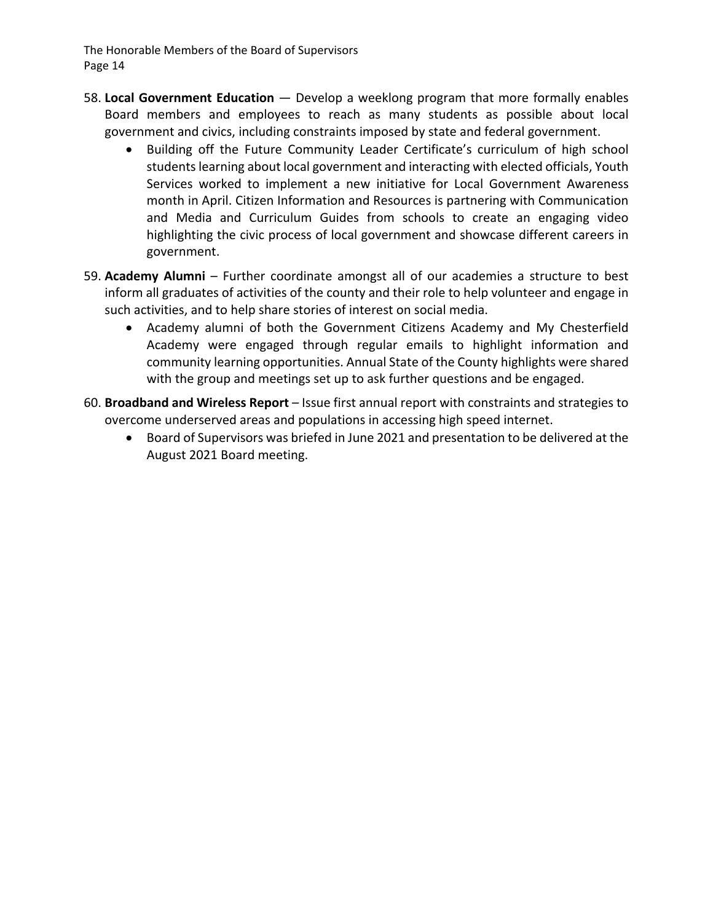- 58. **Local Government Education** Develop a weeklong program that more formally enables Board members and employees to reach as many students as possible about local government and civics, including constraints imposed by state and federal government.
	- Building off the Future Community Leader Certificate's curriculum of high school students learning about local government and interacting with elected officials, Youth Services worked to implement a new initiative for Local Government Awareness month in April. Citizen Information and Resources is partnering with Communication and Media and Curriculum Guides from schools to create an engaging video highlighting the civic process of local government and showcase different careers in government.
- 59. **Academy Alumni** Further coordinate amongst all of our academies a structure to best inform all graduates of activities of the county and their role to help volunteer and engage in such activities, and to help share stories of interest on social media.
	- Academy alumni of both the Government Citizens Academy and My Chesterfield Academy were engaged through regular emails to highlight information and community learning opportunities. Annual State of the County highlights were shared with the group and meetings set up to ask further questions and be engaged.
- 60. **Broadband and Wireless Report** Issue first annual report with constraints and strategies to overcome underserved areas and populations in accessing high speed internet.
	- Board of Supervisors was briefed in June 2021 and presentation to be delivered at the August 2021 Board meeting.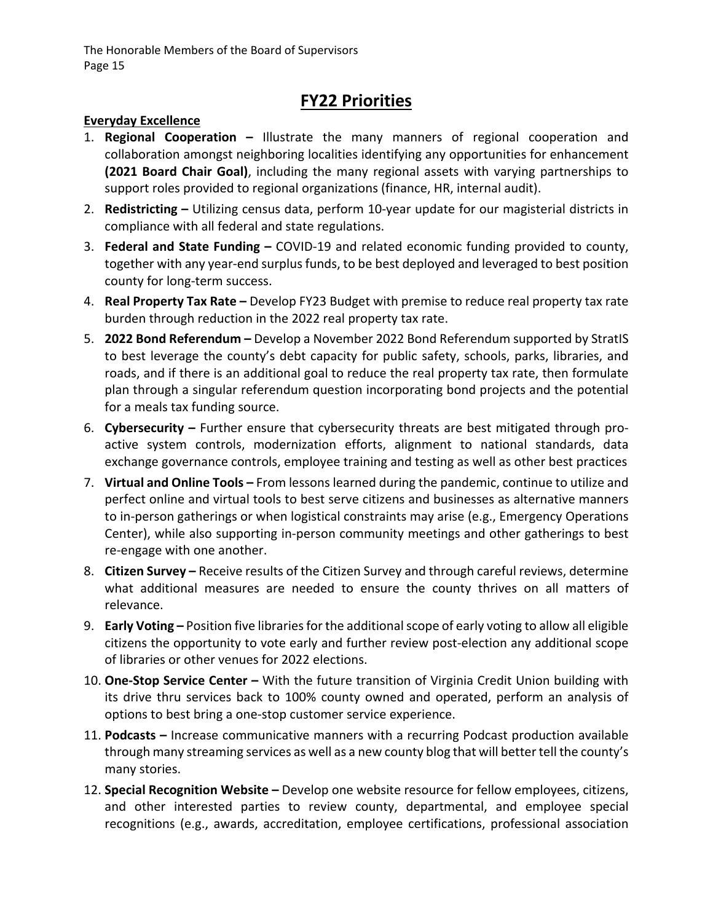## **FY22 Priorities**

#### **Everyday Excellence**

- 1. **Regional Cooperation –** Illustrate the many manners of regional cooperation and collaboration amongst neighboring localities identifying any opportunities for enhancement **(2021 Board Chair Goal)**, including the many regional assets with varying partnerships to support roles provided to regional organizations (finance, HR, internal audit).
- 2. **Redistricting –** Utilizing census data, perform 10‐year update for our magisterial districts in compliance with all federal and state regulations.
- 3. **Federal and State Funding –** COVID‐19 and related economic funding provided to county, together with any year‐end surplus funds, to be best deployed and leveraged to best position county for long‐term success.
- 4. **Real Property Tax Rate –** Develop FY23 Budget with premise to reduce real property tax rate burden through reduction in the 2022 real property tax rate.
- 5. **2022 Bond Referendum –** Develop a November 2022 Bond Referendum supported by StratIS to best leverage the county's debt capacity for public safety, schools, parks, libraries, and roads, and if there is an additional goal to reduce the real property tax rate, then formulate plan through a singular referendum question incorporating bond projects and the potential for a meals tax funding source.
- 6. **Cybersecurity –** Further ensure that cybersecurity threats are best mitigated through pro‐ active system controls, modernization efforts, alignment to national standards, data exchange governance controls, employee training and testing as well as other best practices
- 7. **Virtual and Online Tools –** From lessons learned during the pandemic, continue to utilize and perfect online and virtual tools to best serve citizens and businesses as alternative manners to in‐person gatherings or when logistical constraints may arise (e.g., Emergency Operations Center), while also supporting in‐person community meetings and other gatherings to best re‐engage with one another.
- 8. **Citizen Survey –** Receive results of the Citizen Survey and through careful reviews, determine what additional measures are needed to ensure the county thrives on all matters of relevance.
- 9. **Early Voting –** Position five librariesfor the additionalscope of early voting to allow all eligible citizens the opportunity to vote early and further review post‐election any additional scope of libraries or other venues for 2022 elections.
- 10. **One‐Stop Service Center –** With the future transition of Virginia Credit Union building with its drive thru services back to 100% county owned and operated, perform an analysis of options to best bring a one‐stop customer service experience.
- 11. **Podcasts –** Increase communicative manners with a recurring Podcast production available through many streaming services as well as a new county blog that will better tell the county's many stories.
- 12. **Special Recognition Website –** Develop one website resource for fellow employees, citizens, and other interested parties to review county, departmental, and employee special recognitions (e.g., awards, accreditation, employee certifications, professional association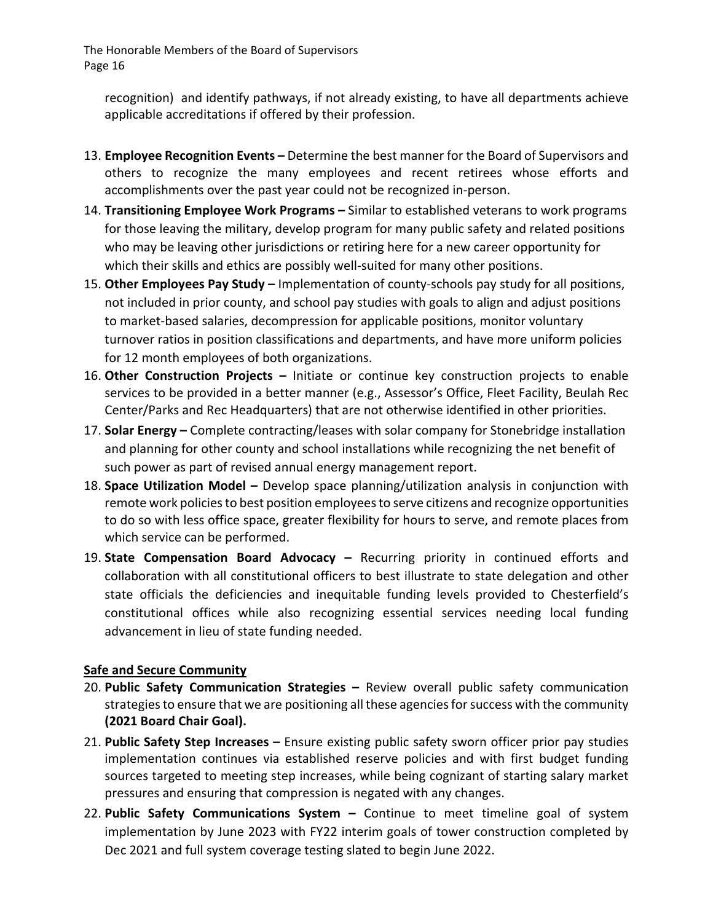recognition) and identify pathways, if not already existing, to have all departments achieve applicable accreditations if offered by their profession.

- 13. **Employee Recognition Events –** Determine the best manner for the Board of Supervisors and others to recognize the many employees and recent retirees whose efforts and accomplishments over the past year could not be recognized in‐person.
- 14. **Transitioning Employee Work Programs –** Similar to established veterans to work programs for those leaving the military, develop program for many public safety and related positions who may be leaving other jurisdictions or retiring here for a new career opportunity for which their skills and ethics are possibly well-suited for many other positions.
- 15. **Other Employees Pay Study –** Implementation of county‐schools pay study for all positions, not included in prior county, and school pay studies with goals to align and adjust positions to market‐based salaries, decompression for applicable positions, monitor voluntary turnover ratios in position classifications and departments, and have more uniform policies for 12 month employees of both organizations.
- 16. **Other Construction Projects –** Initiate or continue key construction projects to enable services to be provided in a better manner (e.g., Assessor's Office, Fleet Facility, Beulah Rec Center/Parks and Rec Headquarters) that are not otherwise identified in other priorities.
- 17. **Solar Energy –** Complete contracting/leases with solar company for Stonebridge installation and planning for other county and school installations while recognizing the net benefit of such power as part of revised annual energy management report.
- 18. **Space Utilization Model –** Develop space planning/utilization analysis in conjunction with remote work policies to best position employees to serve citizens and recognize opportunities to do so with less office space, greater flexibility for hours to serve, and remote places from which service can be performed.
- 19. **State Compensation Board Advocacy –** Recurring priority in continued efforts and collaboration with all constitutional officers to best illustrate to state delegation and other state officials the deficiencies and inequitable funding levels provided to Chesterfield's constitutional offices while also recognizing essential services needing local funding advancement in lieu of state funding needed.

#### **Safe and Secure Community**

- 20. **Public Safety Communication Strategies –** Review overall public safety communication strategies to ensure that we are positioning all these agencies for success with the community **(2021 Board Chair Goal).**
- 21. **Public Safety Step Increases –** Ensure existing public safety sworn officer prior pay studies implementation continues via established reserve policies and with first budget funding sources targeted to meeting step increases, while being cognizant of starting salary market pressures and ensuring that compression is negated with any changes.
- 22. **Public Safety Communications System –** Continue to meet timeline goal of system implementation by June 2023 with FY22 interim goals of tower construction completed by Dec 2021 and full system coverage testing slated to begin June 2022.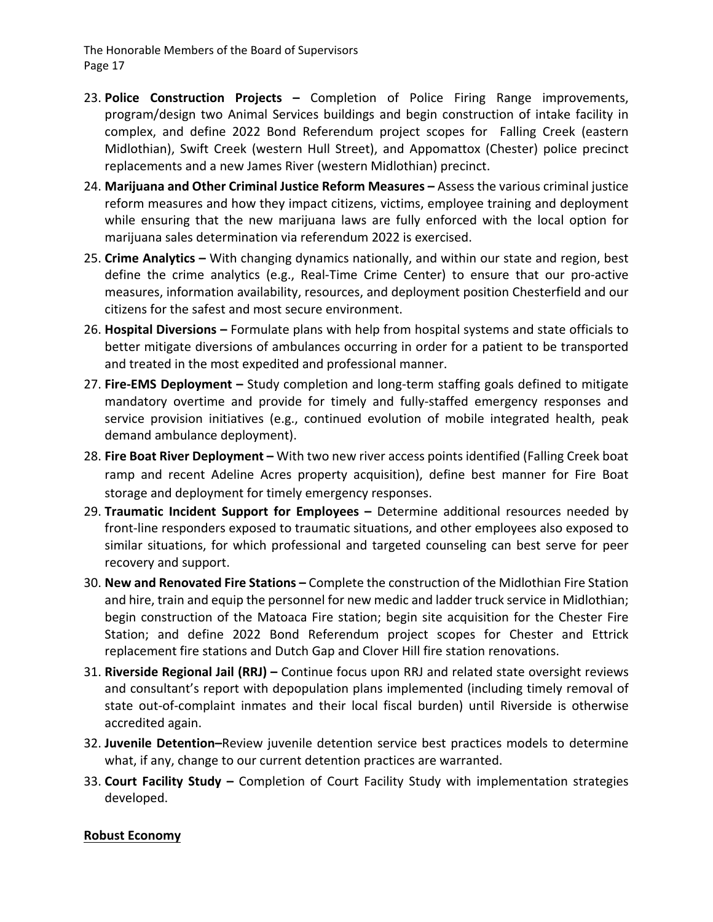- 23. **Police Construction Projects –** Completion of Police Firing Range improvements, program/design two Animal Services buildings and begin construction of intake facility in complex, and define 2022 Bond Referendum project scopes for Falling Creek (eastern Midlothian), Swift Creek (western Hull Street), and Appomattox (Chester) police precinct replacements and a new James River (western Midlothian) precinct.
- 24. **Marijuana and Other Criminal Justice Reform Measures –** Assess the various criminal justice reform measures and how they impact citizens, victims, employee training and deployment while ensuring that the new marijuana laws are fully enforced with the local option for marijuana sales determination via referendum 2022 is exercised.
- 25. **Crime Analytics –** With changing dynamics nationally, and within our state and region, best define the crime analytics (e.g., Real‐Time Crime Center) to ensure that our pro‐active measures, information availability, resources, and deployment position Chesterfield and our citizens for the safest and most secure environment.
- 26. **Hospital Diversions –** Formulate plans with help from hospital systems and state officials to better mitigate diversions of ambulances occurring in order for a patient to be transported and treated in the most expedited and professional manner.
- 27. **Fire‐EMS Deployment –** Study completion and long‐term staffing goals defined to mitigate mandatory overtime and provide for timely and fully‐staffed emergency responses and service provision initiatives (e.g., continued evolution of mobile integrated health, peak demand ambulance deployment).
- 28. **Fire Boat River Deployment –** With two new river access points identified (Falling Creek boat ramp and recent Adeline Acres property acquisition), define best manner for Fire Boat storage and deployment for timely emergency responses.
- 29. **Traumatic Incident Support for Employees –** Determine additional resources needed by front‐line responders exposed to traumatic situations, and other employees also exposed to similar situations, for which professional and targeted counseling can best serve for peer recovery and support.
- 30. **New and Renovated Fire Stations –** Complete the construction of the Midlothian Fire Station and hire, train and equip the personnel for new medic and ladder truck service in Midlothian; begin construction of the Matoaca Fire station; begin site acquisition for the Chester Fire Station; and define 2022 Bond Referendum project scopes for Chester and Ettrick replacement fire stations and Dutch Gap and Clover Hill fire station renovations.
- 31. **Riverside Regional Jail (RRJ) –** Continue focus upon RRJ and related state oversight reviews and consultant's report with depopulation plans implemented (including timely removal of state out‐of‐complaint inmates and their local fiscal burden) until Riverside is otherwise accredited again.
- 32. **Juvenile Detention–**Review juvenile detention service best practices models to determine what, if any, change to our current detention practices are warranted.
- 33. **Court Facility Study –** Completion of Court Facility Study with implementation strategies developed.

#### **Robust Economy**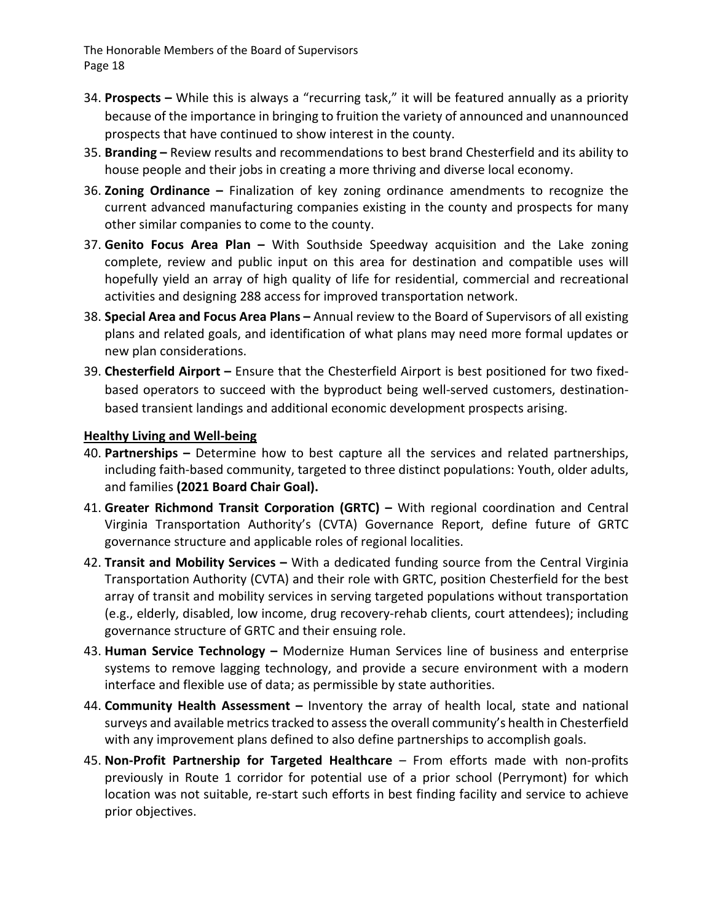- 34. **Prospects –** While this is always a "recurring task," it will be featured annually as a priority because of the importance in bringing to fruition the variety of announced and unannounced prospects that have continued to show interest in the county.
- 35. **Branding –** Review results and recommendations to best brand Chesterfield and its ability to house people and their jobs in creating a more thriving and diverse local economy.
- 36. **Zoning Ordinance –** Finalization of key zoning ordinance amendments to recognize the current advanced manufacturing companies existing in the county and prospects for many other similar companies to come to the county.
- 37. **Genito Focus Area Plan –** With Southside Speedway acquisition and the Lake zoning complete, review and public input on this area for destination and compatible uses will hopefully yield an array of high quality of life for residential, commercial and recreational activities and designing 288 access for improved transportation network.
- 38. **Special Area and Focus Area Plans –** Annual review to the Board of Supervisors of all existing plans and related goals, and identification of what plans may need more formal updates or new plan considerations.
- 39. **Chesterfield Airport –** Ensure that the Chesterfield Airport is best positioned for two fixed‐ based operators to succeed with the byproduct being well‐served customers, destination‐ based transient landings and additional economic development prospects arising.

#### **Healthy Living and Well‐being**

- 40. **Partnerships –** Determine how to best capture all the services and related partnerships, including faith‐based community, targeted to three distinct populations: Youth, older adults, and families **(2021 Board Chair Goal).**
- 41. **Greater Richmond Transit Corporation (GRTC) –** With regional coordination and Central Virginia Transportation Authority's (CVTA) Governance Report, define future of GRTC governance structure and applicable roles of regional localities.
- 42. **Transit and Mobility Services –** With a dedicated funding source from the Central Virginia Transportation Authority (CVTA) and their role with GRTC, position Chesterfield for the best array of transit and mobility services in serving targeted populations without transportation (e.g., elderly, disabled, low income, drug recovery‐rehab clients, court attendees); including governance structure of GRTC and their ensuing role.
- 43. **Human Service Technology –** Modernize Human Services line of business and enterprise systems to remove lagging technology, and provide a secure environment with a modern interface and flexible use of data; as permissible by state authorities.
- 44. **Community Health Assessment –** Inventory the array of health local, state and national surveys and available metrics tracked to assess the overall community's health in Chesterfield with any improvement plans defined to also define partnerships to accomplish goals.
- 45. **Non‐Profit Partnership for Targeted Healthcare** From efforts made with non‐profits previously in Route 1 corridor for potential use of a prior school (Perrymont) for which location was not suitable, re‐start such efforts in best finding facility and service to achieve prior objectives.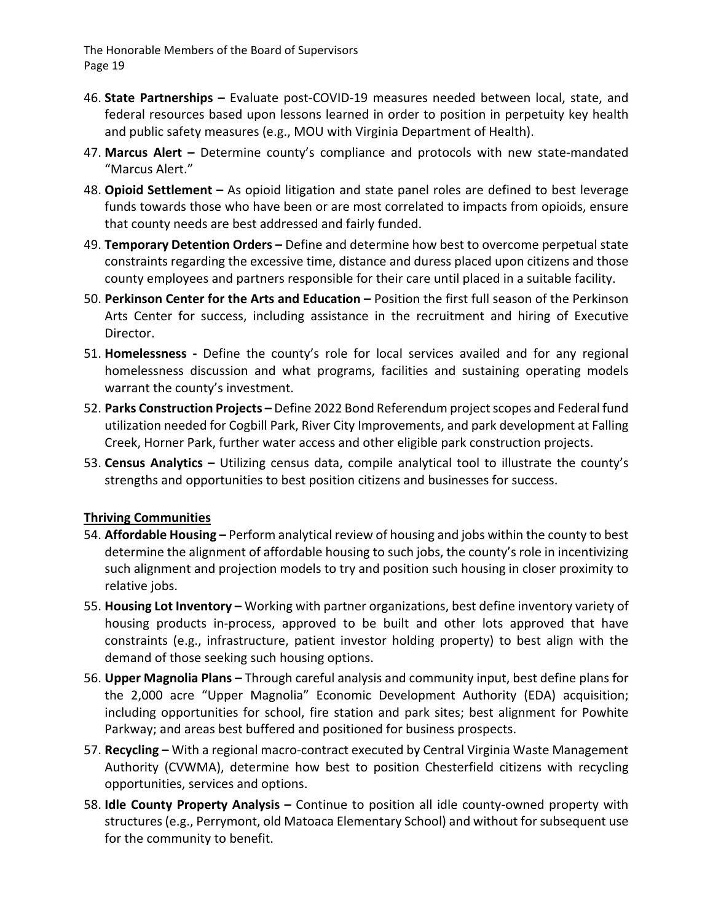- 46. **State Partnerships –** Evaluate post‐COVID‐19 measures needed between local, state, and federal resources based upon lessons learned in order to position in perpetuity key health and public safety measures (e.g., MOU with Virginia Department of Health).
- 47. **Marcus Alert –** Determine county's compliance and protocols with new state‐mandated "Marcus Alert."
- 48. **Opioid Settlement –** As opioid litigation and state panel roles are defined to best leverage funds towards those who have been or are most correlated to impacts from opioids, ensure that county needs are best addressed and fairly funded.
- 49. **Temporary Detention Orders –** Define and determine how best to overcome perpetual state constraints regarding the excessive time, distance and duress placed upon citizens and those county employees and partners responsible for their care until placed in a suitable facility.
- 50. **Perkinson Center for the Arts and Education –** Position the first full season of the Perkinson Arts Center for success, including assistance in the recruitment and hiring of Executive Director.
- 51. **Homelessness ‐** Define the county's role for local services availed and for any regional homelessness discussion and what programs, facilities and sustaining operating models warrant the county's investment.
- 52. **Parks Construction Projects –** Define 2022 Bond Referendum projectscopes and Federal fund utilization needed for Cogbill Park, River City Improvements, and park development at Falling Creek, Horner Park, further water access and other eligible park construction projects.
- 53. **Census Analytics –** Utilizing census data, compile analytical tool to illustrate the county's strengths and opportunities to best position citizens and businesses for success.

#### **Thriving Communities**

- 54. **Affordable Housing –** Perform analytical review of housing and jobs within the county to best determine the alignment of affordable housing to such jobs, the county's role in incentivizing such alignment and projection models to try and position such housing in closer proximity to relative jobs.
- 55. **Housing Lot Inventory –** Working with partner organizations, best define inventory variety of housing products in-process, approved to be built and other lots approved that have constraints (e.g., infrastructure, patient investor holding property) to best align with the demand of those seeking such housing options.
- 56. **Upper Magnolia Plans –** Through careful analysis and community input, best define plans for the 2,000 acre "Upper Magnolia" Economic Development Authority (EDA) acquisition; including opportunities for school, fire station and park sites; best alignment for Powhite Parkway; and areas best buffered and positioned for business prospects.
- 57. **Recycling –** With a regional macro‐contract executed by Central Virginia Waste Management Authority (CVWMA), determine how best to position Chesterfield citizens with recycling opportunities, services and options.
- 58. **Idle County Property Analysis –** Continue to position all idle county‐owned property with structures (e.g., Perrymont, old Matoaca Elementary School) and without for subsequent use for the community to benefit.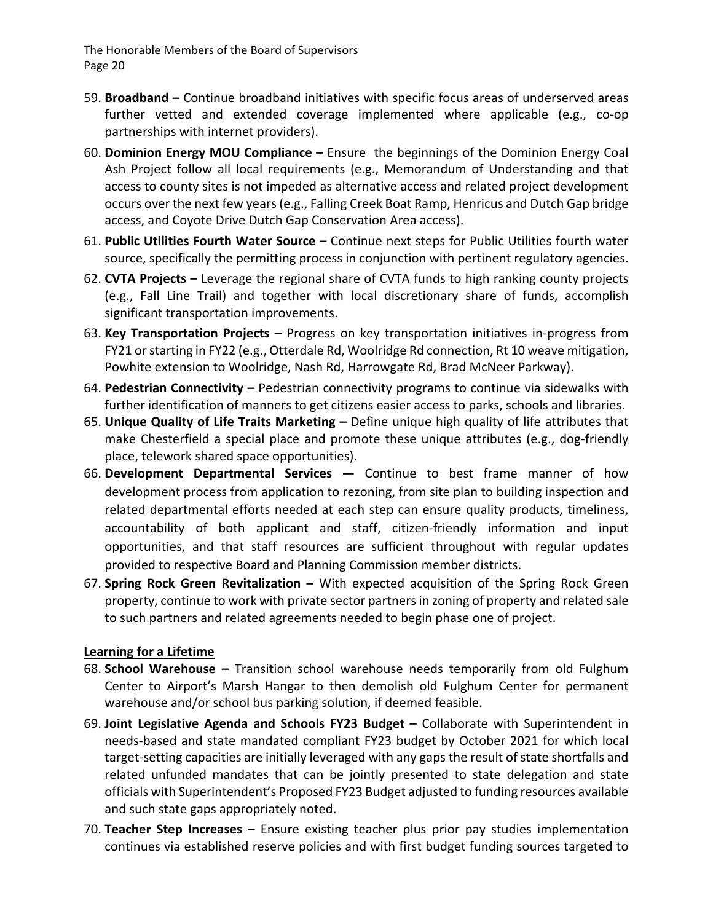- 59. **Broadband –** Continue broadband initiatives with specific focus areas of underserved areas further vetted and extended coverage implemented where applicable (e.g., co-op partnerships with internet providers).
- 60. **Dominion Energy MOU Compliance –** Ensure the beginnings of the Dominion Energy Coal Ash Project follow all local requirements (e.g., Memorandum of Understanding and that access to county sites is not impeded as alternative access and related project development occurs over the next few years (e.g., Falling Creek Boat Ramp, Henricus and Dutch Gap bridge access, and Coyote Drive Dutch Gap Conservation Area access).
- 61. **Public Utilities Fourth Water Source –** Continue next steps for Public Utilities fourth water source, specifically the permitting process in conjunction with pertinent regulatory agencies.
- 62. **CVTA Projects –** Leverage the regional share of CVTA funds to high ranking county projects (e.g., Fall Line Trail) and together with local discretionary share of funds, accomplish significant transportation improvements.
- 63. **Key Transportation Projects –** Progress on key transportation initiatives in‐progress from FY21 or starting in FY22 (e.g., Otterdale Rd, Woolridge Rd connection, Rt 10 weave mitigation, Powhite extension to Woolridge, Nash Rd, Harrowgate Rd, Brad McNeer Parkway).
- 64. **Pedestrian Connectivity –** Pedestrian connectivity programs to continue via sidewalks with further identification of manners to get citizens easier access to parks, schools and libraries.
- 65. **Unique Quality of Life Traits Marketing –** Define unique high quality of life attributes that make Chesterfield a special place and promote these unique attributes (e.g., dog-friendly place, telework shared space opportunities).
- 66. **Development Departmental Services —** Continue to best frame manner of how development process from application to rezoning, from site plan to building inspection and related departmental efforts needed at each step can ensure quality products, timeliness, accountability of both applicant and staff, citizen-friendly information and input opportunities, and that staff resources are sufficient throughout with regular updates provided to respective Board and Planning Commission member districts.
- 67. **Spring Rock Green Revitalization –** With expected acquisition of the Spring Rock Green property, continue to work with private sector partnersin zoning of property and related sale to such partners and related agreements needed to begin phase one of project.

#### **Learning for a Lifetime**

- 68. **School Warehouse –** Transition school warehouse needs temporarily from old Fulghum Center to Airport's Marsh Hangar to then demolish old Fulghum Center for permanent warehouse and/or school bus parking solution, if deemed feasible.
- 69. **Joint Legislative Agenda and Schools FY23 Budget –** Collaborate with Superintendent in needs‐based and state mandated compliant FY23 budget by October 2021 for which local target‐setting capacities are initially leveraged with any gaps the result of state shortfalls and related unfunded mandates that can be jointly presented to state delegation and state officials with Superintendent's Proposed FY23 Budget adjusted to funding resources available and such state gaps appropriately noted.
- 70. **Teacher Step Increases –** Ensure existing teacher plus prior pay studies implementation continues via established reserve policies and with first budget funding sources targeted to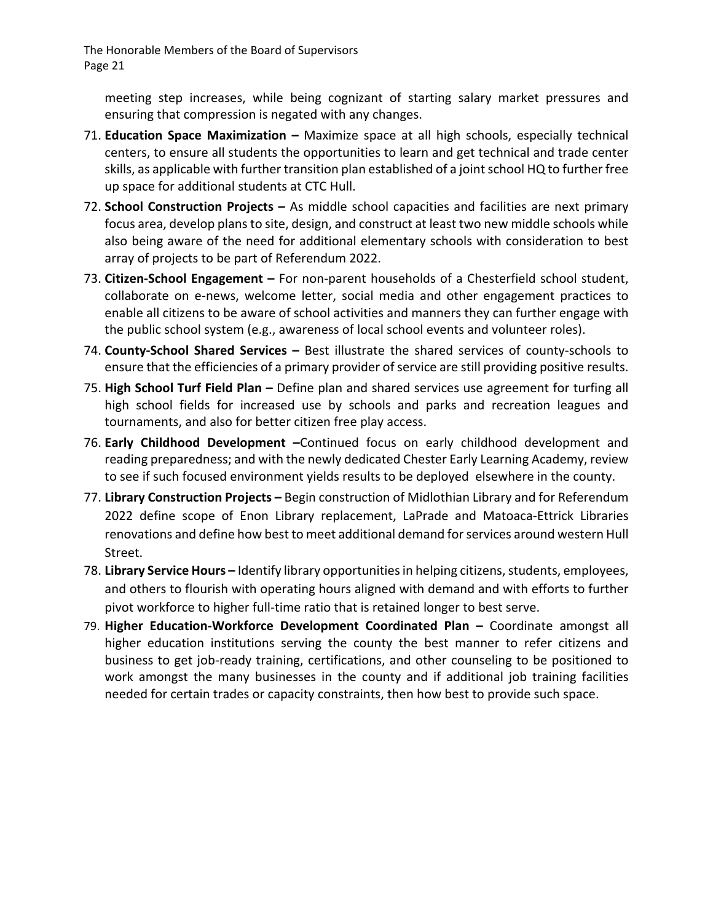meeting step increases, while being cognizant of starting salary market pressures and ensuring that compression is negated with any changes.

- 71. **Education Space Maximization –** Maximize space at all high schools, especially technical centers, to ensure all students the opportunities to learn and get technical and trade center skills, as applicable with further transition plan established of a joint school HQ to further free up space for additional students at CTC Hull.
- 72. **School Construction Projects –** As middle school capacities and facilities are next primary focus area, develop plans to site, design, and construct at least two new middle schools while also being aware of the need for additional elementary schools with consideration to best array of projects to be part of Referendum 2022.
- 73. **Citizen‐School Engagement –** For non‐parent households of a Chesterfield school student, collaborate on e‐news, welcome letter, social media and other engagement practices to enable all citizens to be aware of school activities and manners they can further engage with the public school system (e.g., awareness of local school events and volunteer roles).
- 74. **County‐School Shared Services –** Best illustrate the shared services of county‐schools to ensure that the efficiencies of a primary provider of service are still providing positive results.
- 75. **High School Turf Field Plan –** Define plan and shared services use agreement for turfing all high school fields for increased use by schools and parks and recreation leagues and tournaments, and also for better citizen free play access.
- 76. **Early Childhood Development –**Continued focus on early childhood development and reading preparedness; and with the newly dedicated Chester Early Learning Academy, review to see if such focused environment yields results to be deployed elsewhere in the county.
- 77. **Library Construction Projects –** Begin construction of Midlothian Library and for Referendum 2022 define scope of Enon Library replacement, LaPrade and Matoaca‐Ettrick Libraries renovations and define how best to meet additional demand forservices around western Hull Street.
- 78. Library Service Hours Identify library opportunities in helping citizens, students, employees, and others to flourish with operating hours aligned with demand and with efforts to further pivot workforce to higher full-time ratio that is retained longer to best serve.
- 79. **Higher Education‐Workforce Development Coordinated Plan –** Coordinate amongst all higher education institutions serving the county the best manner to refer citizens and business to get job‐ready training, certifications, and other counseling to be positioned to work amongst the many businesses in the county and if additional job training facilities needed for certain trades or capacity constraints, then how best to provide such space.